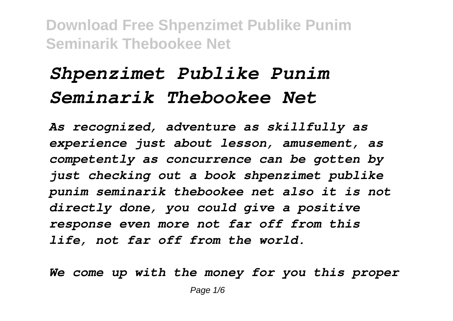## *Shpenzimet Publike Punim Seminarik Thebookee Net*

*As recognized, adventure as skillfully as experience just about lesson, amusement, as competently as concurrence can be gotten by just checking out a book shpenzimet publike punim seminarik thebookee net also it is not directly done, you could give a positive response even more not far off from this life, not far off from the world.*

*We come up with the money for you this proper*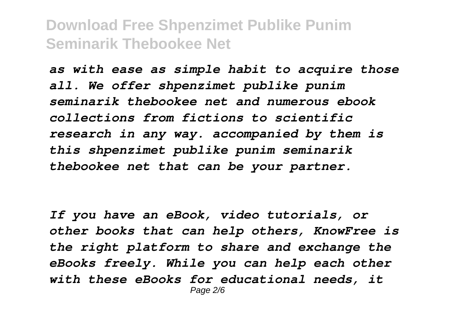*as with ease as simple habit to acquire those all. We offer shpenzimet publike punim seminarik thebookee net and numerous ebook collections from fictions to scientific research in any way. accompanied by them is this shpenzimet publike punim seminarik thebookee net that can be your partner.*

*If you have an eBook, video tutorials, or other books that can help others, KnowFree is the right platform to share and exchange the eBooks freely. While you can help each other with these eBooks for educational needs, it* Page 2/6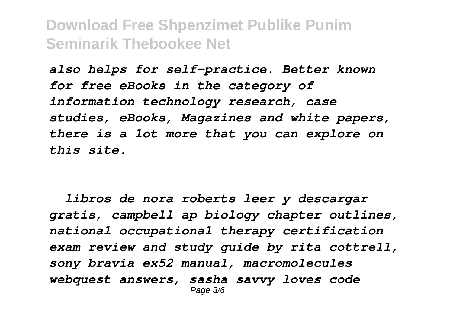*also helps for self-practice. Better known for free eBooks in the category of information technology research, case studies, eBooks, Magazines and white papers, there is a lot more that you can explore on this site.*

 *libros de nora roberts leer y descargar gratis, campbell ap biology chapter outlines, national occupational therapy certification exam review and study guide by rita cottrell, sony bravia ex52 manual, macromolecules webquest answers, sasha savvy loves code* Page 3/6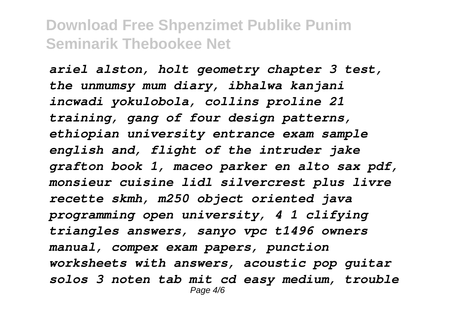*ariel alston, holt geometry chapter 3 test, the unmumsy mum diary, ibhalwa kanjani incwadi yokulobola, collins proline 21 training, gang of four design patterns, ethiopian university entrance exam sample english and, flight of the intruder jake grafton book 1, maceo parker en alto sax pdf, monsieur cuisine lidl silvercrest plus livre recette skmh, m250 object oriented java programming open university, 4 1 clifying triangles answers, sanyo vpc t1496 owners manual, compex exam papers, punction worksheets with answers, acoustic pop guitar solos 3 noten tab mit cd easy medium, trouble* Page  $4/6$